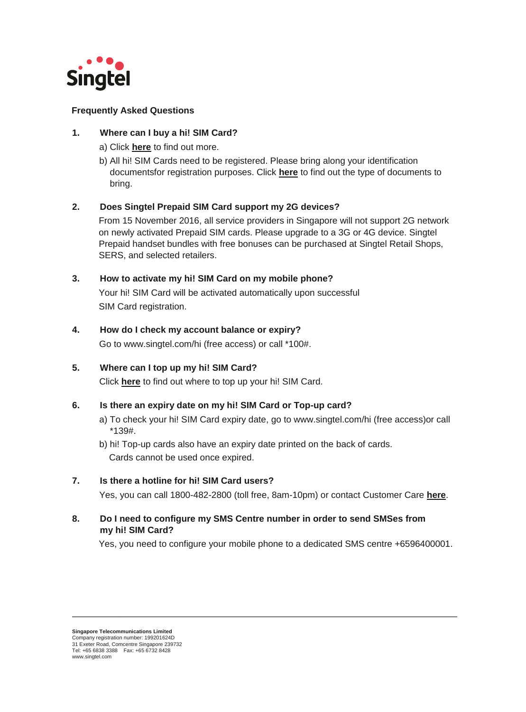

## **Frequently Asked Questions**

# **1. Where can I buy a hi! SIM Card?**

- a) Click **[here](https://www.singtel.com/content/dam/singtel/personal/products-services/mobile/prepaid-plans/prepaid-plans-webpage/02_Support.pdf)** to find out more.
- b) All hi! SIM Cards need to be registered. Please bring along your identification documentsfor registration purposes. Click **[here](https://www.singtel.com/content/dam/singtel/personal/products-services/mobile/prepaid-plans/prepaid-plans-webpage/02_Support.pdf)** to find out the type of documents to bring.

# **2. Does Singtel Prepaid SIM Card support my 2G devices?**

 From 15 November 2016, all service providers in Singapore will not support 2G network on newly activated Prepaid SIM cards. Please upgrade to a 3G or 4G device. Singtel Prepaid handset bundles with free bonuses can be purchased at Singtel Retail Shops, SERS, and selected retailers.

# **3. How to activate my hi! SIM Card on my mobile phone?**

 Your hi! SIM Card will be activated automatically upon successful SIM Card registration.

## **4. How do I check my account balance or expiry?**

Go to www.singtel.com/hi (free access) or call \*100#.

# **5. Where can I top up my hi! SIM Card?**

Click **[here](https://www.singtel.com/content/dam/singtel/personal/products-services/mobile/prepaid-plans/prepaid-plans-webpage/02_Support.pdf)** to find out where to top up your hi! SIM Card.

## **6. Is there an expiry date on my hi! SIM Card or Top-up card?**

- a) To check your hi! SIM Card expiry date, go to www.singtel.com/hi (free access)or call \*139#.
- b) hi! Top-up cards also have an expiry date printed on the back of cards. Cards cannot be used once expired.

## **7. Is there a hotline for hi! SIM Card users?**

Yes, you can call 1800-482-2800 (toll free, 8am-10pm) or contact Customer Care **[here](https://info.singtel.com/faq-contact-us)**.

**8. Do I need to configure my SMS Centre number in order to send SMSes from my hi! SIM Card?**

Yes, you need to configure your mobile phone to a dedicated SMS centre +6596400001.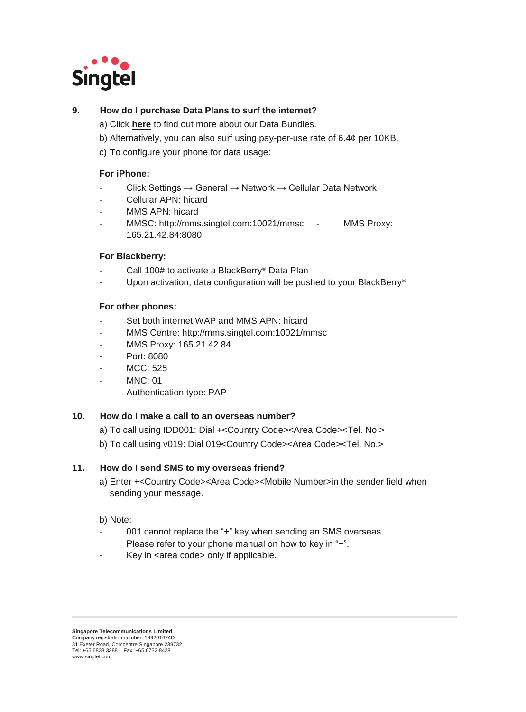

# **9. How do I purchase Data Plans to surf the internet?**

- a) Click **[here](https://www.singtel.com/personal/products-services/mobile/prepaid-plans/data-plans)** [to](https://www.singtel.com/personal/products-services/mobile/prepaid-plans/data-plans) find out more about our Data Bundles.
- b) Alternatively, you can also surf using pay-per-use rate of 6.4¢ per 10KB.
- c) To configure your phone for data usage:

### **For iPhone:**

- $Click Settings \rightarrow General \rightarrow Network \rightarrow Cellular Data Network$
- Cellular APN: hicard
- MMS APN: hicard
- MMSC: http://mms.singtel.com:10021/mmsc MMS Proxy: 165.21.42.84:8080

### **For Blackberry:**

- Call 100# to activate a BlackBerry<sup>®</sup> Data Plan
- Upon activation, data configuration will be pushed to your BlackBerry®

### **For other phones:**

- Set both internet WAP and MMS APN: hicard
- MMS Centre: http://mms.singtel.com:10021/mmsc
- MMS Proxy: 165.21.42.84
- Port: 8080
- MCC: 525
- **MNC: 01**
- Authentication type: PAP

### **10. How do I make a call to an overseas number?**

- a) To call using IDD001: Dial +<Country Code><Area Code><Tel. No.>
- b) To call using v019: Dial 019<Country Code><Area Code><Tel. No.>

### **11. How do I send SMS to my overseas friend?**

a) Enter +<Country Code><Area Code><Mobile Number>in the sender field when sending your message.

### b) Note:

- 001 cannot replace the "+" key when sending an SMS overseas. Please refer to your phone manual on how to key in "+".
- Key in <area code> only if applicable.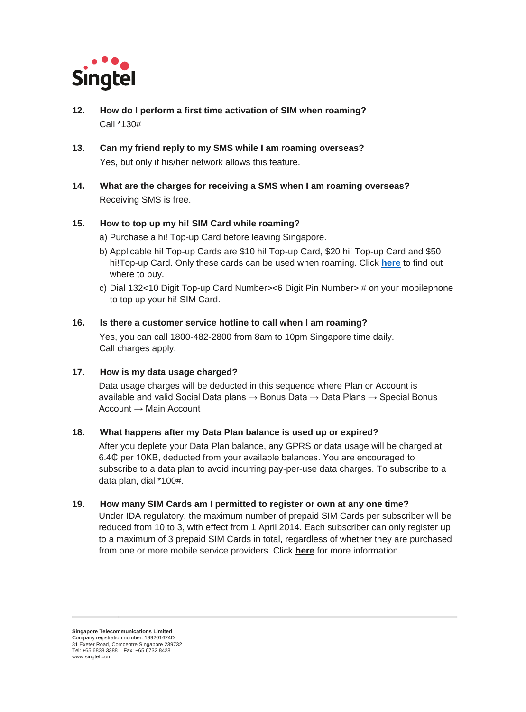

- **12. How do I perform a first time activation of SIM when roaming?** Call \*130#
- **13. Can my friend reply to my SMS while I am roaming overseas?** Yes, but only if his/her network allows this feature.
- **14. What are the charges for receiving a SMS when I am roaming overseas?** Receiving SMS is free.

## **15. How to top up my hi! SIM Card while roaming?**

- a) Purchase a hi! Top-up Card before leaving Singapore.
- b) Applicable hi! Top-up Cards are \$10 hi! Top-up Card, \$20 hi! Top-up Card and \$50 hi!Top-up Card. Only these cards can be used when roaming. Click **[here](https://www.singtel.com/content/dam/singtel/personal/products-services/mobile/prepaid-plans/prepaid-plans-webpage/02_Support.pdf)** to find out where to buy.
- c) Dial 132<10 Digit Top-up Card Number><6 Digit Pin Number> # on your mobilephone to top up your hi! SIM Card.

### **16. Is there a customer service hotline to call when I am roaming?**

 Yes, you can call 1800-482-2800 from 8am to 10pm Singapore time daily. Call charges apply.

### **17. How is my data usage charged?**

 Data usage charges will be deducted in this sequence where Plan or Account is available and valid Social Data plans  $\rightarrow$  Bonus Data  $\rightarrow$  Data Plans  $\rightarrow$  Special Bonus Account → Main Account

### **18. What happens after my Data Plan balance is used up or expired?**

 After you deplete your Data Plan balance, any GPRS or data usage will be charged at 6.4₵ per 10KB, deducted from your available balances. You are encouraged to subscribe to a data plan to avoid incurring pay-per-use data charges. To subscribe to a data plan, dial \*100#.

### **19. How many SIM Cards am I permitted to register or own at any one time?**

 Under IDA regulatory, the maximum number of prepaid SIM Cards per subscriber will be reduced from 10 to 3, with effect from 1 April 2014. Each subscriber can only register up to a maximum of 3 prepaid SIM Cards in total, regardless of whether they are purchased from one or more mobile service providers. Click **[here](https://www.imda.gov.sg/about/newsroom/archived/ida/media-releases/2014/number-of-prepaid-cards-per-subscriber-to-be-reduced-to-enhance-security)** for more information.